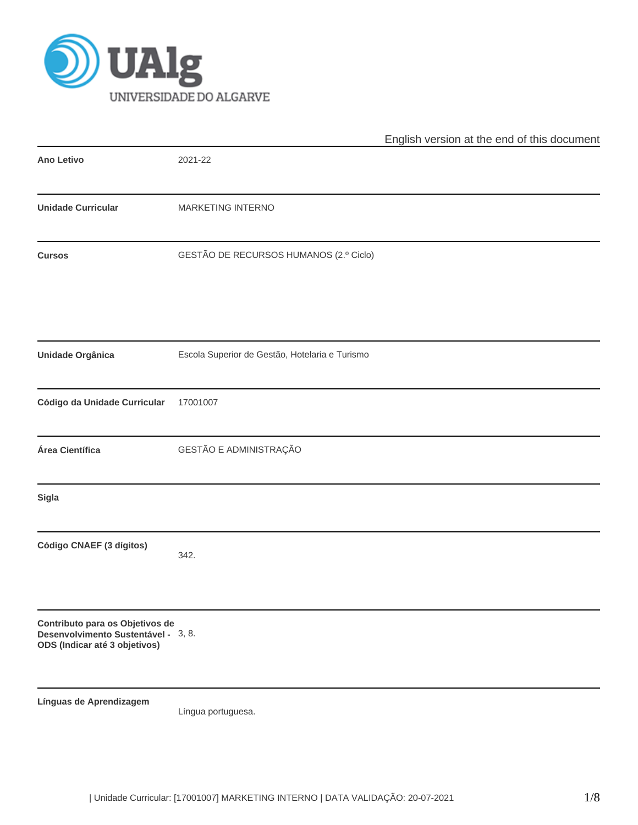

|                                                                                                         |                                                | English version at the end of this document |  |  |  |
|---------------------------------------------------------------------------------------------------------|------------------------------------------------|---------------------------------------------|--|--|--|
| <b>Ano Letivo</b>                                                                                       | 2021-22                                        |                                             |  |  |  |
| <b>Unidade Curricular</b>                                                                               | MARKETING INTERNO                              |                                             |  |  |  |
| <b>Cursos</b>                                                                                           | GESTÃO DE RECURSOS HUMANOS (2.º Ciclo)         |                                             |  |  |  |
| Unidade Orgânica                                                                                        | Escola Superior de Gestão, Hotelaria e Turismo |                                             |  |  |  |
| Código da Unidade Curricular                                                                            | 17001007                                       |                                             |  |  |  |
| Área Científica                                                                                         | GESTÃO E ADMINISTRAÇÃO                         |                                             |  |  |  |
| <b>Sigla</b>                                                                                            |                                                |                                             |  |  |  |
| Código CNAEF (3 dígitos)                                                                                | 342.                                           |                                             |  |  |  |
| Contributo para os Objetivos de<br>Desenvolvimento Sustentável - 3, 8.<br>ODS (Indicar até 3 objetivos) |                                                |                                             |  |  |  |
| Línguas de Aprendizagem                                                                                 | Língua portuguesa.                             |                                             |  |  |  |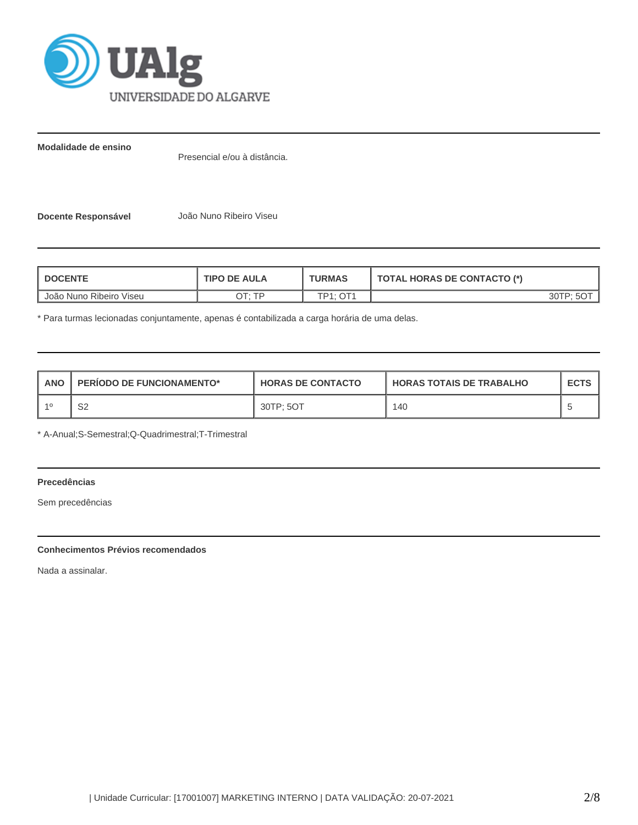

**Modalidade de ensino**

Presencial e/ou à distância.

**Docente Responsável** João Nuno Ribeiro Viseu

| <b>TIPO DE AULA</b><br><b>DOCENTE</b> |        | <b>TURMAS</b>       | <b>TOTAL HORAS DE CONTACTO (*)</b> |
|---------------------------------------|--------|---------------------|------------------------------------|
| João Nuno Ribeiro Viseu               | ח⊤ ּ⊤ר | $\bigcap$ 1<br>TD4. | פד∩ר ∙                             |

\* Para turmas lecionadas conjuntamente, apenas é contabilizada a carga horária de uma delas.

| <b>ANO</b> | <b>PERIODO DE FUNCIONAMENTO*</b> | <b>HORAS DE CONTACTO</b> | <b>HORAS TOTAIS DE TRABALHO</b> | <b>ECTS</b> |
|------------|----------------------------------|--------------------------|---------------------------------|-------------|
|            | ົ<br>ےت                          | 30TP: 5OT                | 140                             |             |

\* A-Anual;S-Semestral;Q-Quadrimestral;T-Trimestral

# **Precedências**

Sem precedências

## **Conhecimentos Prévios recomendados**

Nada a assinalar.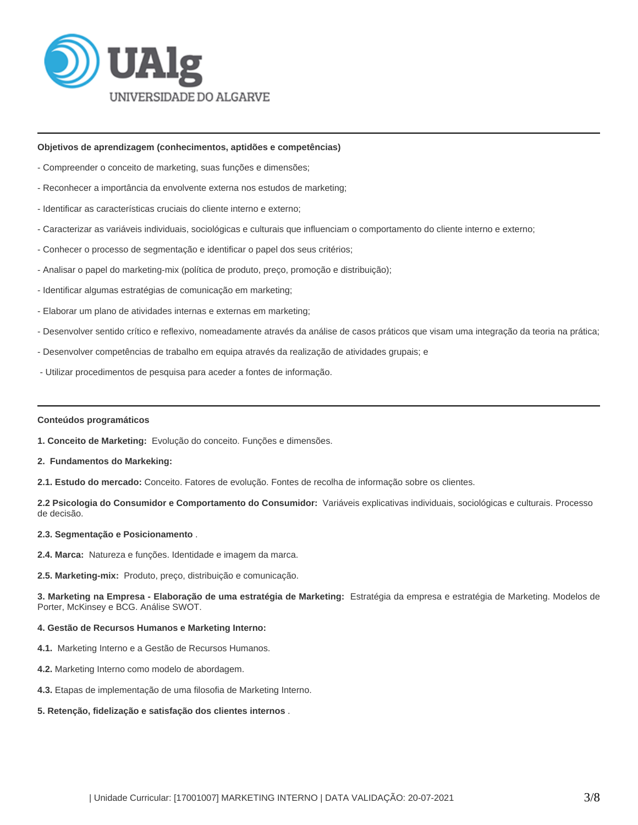

### **Objetivos de aprendizagem (conhecimentos, aptidões e competências)**

- Compreender o conceito de marketing, suas funções e dimensões;
- Reconhecer a importância da envolvente externa nos estudos de marketing;
- Identificar as características cruciais do cliente interno e externo;
- Caracterizar as variáveis individuais, sociológicas e culturais que influenciam o comportamento do cliente interno e externo;
- Conhecer o processo de segmentação e identificar o papel dos seus critérios;
- Analisar o papel do marketing-mix (política de produto, preço, promoção e distribuição);
- Identificar algumas estratégias de comunicação em marketing;
- Elaborar um plano de atividades internas e externas em marketing;
- Desenvolver sentido crítico e reflexivo, nomeadamente através da análise de casos práticos que visam uma integração da teoria na prática;
- Desenvolver competências de trabalho em equipa através da realização de atividades grupais; e
- Utilizar procedimentos de pesquisa para aceder a fontes de informação.

#### **Conteúdos programáticos**

- **1. Conceito de Marketing:** Evolução do conceito. Funções e dimensões.
- **2. Fundamentos do Markeking:**
- **2.1. Estudo do mercado:** Conceito. Fatores de evolução. Fontes de recolha de informação sobre os clientes.

**2.2 Psicologia do Consumidor e Comportamento do Consumidor:** Variáveis explicativas individuais, sociológicas e culturais. Processo de decisão.

#### **2.3. Segmentação e Posicionamento** .

- **2.4. Marca:** Natureza e funções. Identidade e imagem da marca.
- **2.5. Marketing-mix:** Produto, preço, distribuição e comunicação.

**3. Marketing na Empresa - Elaboração de uma estratégia de Marketing:** Estratégia da empresa e estratégia de Marketing. Modelos de Porter, McKinsey e BCG. Análise SWOT.

#### **4. Gestão de Recursos Humanos e Marketing Interno:**

- **4.1.** Marketing Interno e a Gestão de Recursos Humanos.
- **4.2.** Marketing Interno como modelo de abordagem.
- **4.3.** Etapas de implementação de uma filosofia de Marketing Interno.
- **5. Retenção, fidelização e satisfação dos clientes internos** .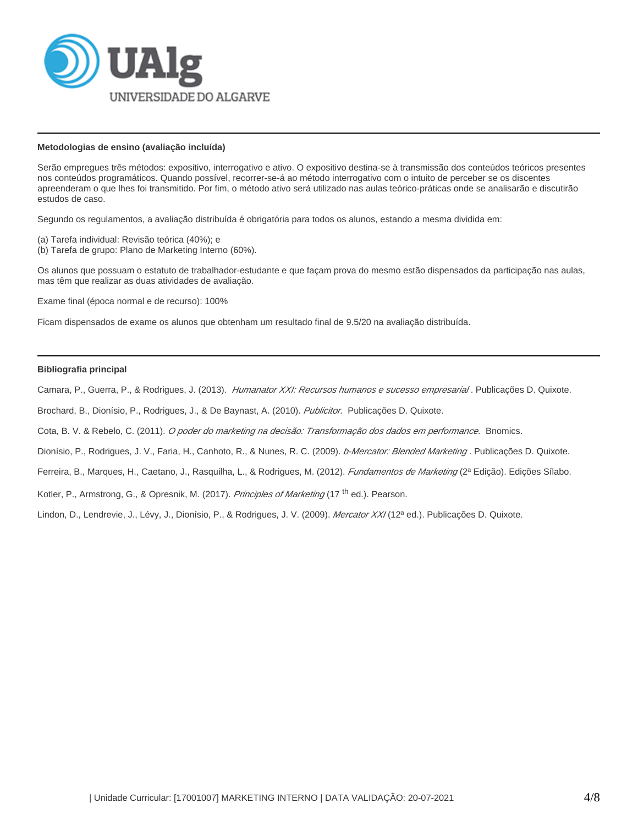

### **Metodologias de ensino (avaliação incluída)**

Serão empregues três métodos: expositivo, interrogativo e ativo. O expositivo destina-se à transmissão dos conteúdos teóricos presentes nos conteúdos programáticos. Quando possível, recorrer-se-á ao método interrogativo com o intuito de perceber se os discentes apreenderam o que lhes foi transmitido. Por fim, o método ativo será utilizado nas aulas teórico-práticas onde se analisarão e discutirão estudos de caso.

Segundo os regulamentos, a avaliação distribuída é obrigatória para todos os alunos, estando a mesma dividida em:

(a) Tarefa individual: Revisão teórica (40%); e

(b) Tarefa de grupo: Plano de Marketing Interno (60%).

Os alunos que possuam o estatuto de trabalhador-estudante e que façam prova do mesmo estão dispensados da participação nas aulas, mas têm que realizar as duas atividades de avaliação.

Exame final (época normal e de recurso): 100%

Ficam dispensados de exame os alunos que obtenham um resultado final de 9.5/20 na avaliação distribuída.

### **Bibliografia principal**

Camara, P., Guerra, P., & Rodrigues, J. (2013). Humanator XXI: Recursos humanos e sucesso empresaria/. Publicações D. Quixote.

Brochard, B., Dionísio, P., Rodrigues, J., & De Baynast, A. (2010). Publicitor. Publicações D. Quixote.

Cota, B. V. & Rebelo, C. (2011). O poder do marketing na decisão: Transformação dos dados em performance. Bnomics.

Dionísio, P., Rodrigues, J. V., Faria, H., Canhoto, R., & Nunes, R. C. (2009). *b-Mercator: Blended Marketing* . Publicações D. Quixote.

Ferreira, B., Marques, H., Caetano, J., Rasquilha, L., & Rodrigues, M. (2012). *Fundamentos de Marketing* (2ª Edição). Edições Sílabo.

Kotler, P., Armstrong, G., & Opresnik, M. (2017). Principles of Marketing (17<sup>th</sup> ed.). Pearson.

Lindon, D., Lendrevie, J., Lévy, J., Dionísio, P., & Rodrigues, J. V. (2009). Mercator XX/(12ª ed.). Publicações D. Quixote.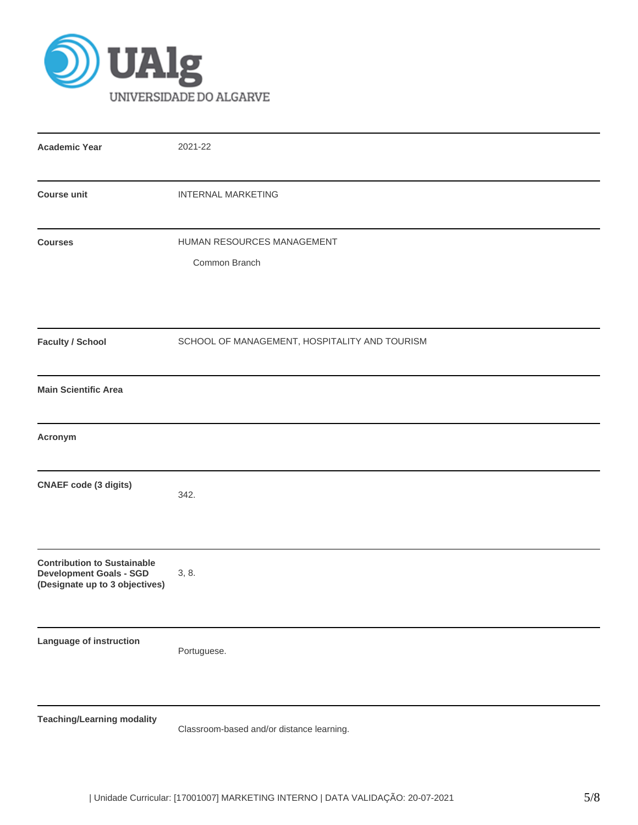

| <b>Academic Year</b>                                                                                   | 2021-22                                       |  |  |  |  |  |
|--------------------------------------------------------------------------------------------------------|-----------------------------------------------|--|--|--|--|--|
| <b>Course unit</b>                                                                                     | <b>INTERNAL MARKETING</b>                     |  |  |  |  |  |
| <b>Courses</b>                                                                                         | HUMAN RESOURCES MANAGEMENT<br>Common Branch   |  |  |  |  |  |
| <b>Faculty / School</b>                                                                                | SCHOOL OF MANAGEMENT, HOSPITALITY AND TOURISM |  |  |  |  |  |
| <b>Main Scientific Area</b>                                                                            |                                               |  |  |  |  |  |
| Acronym                                                                                                |                                               |  |  |  |  |  |
| <b>CNAEF</b> code (3 digits)                                                                           | 342.                                          |  |  |  |  |  |
| <b>Contribution to Sustainable</b><br><b>Development Goals - SGD</b><br>(Designate up to 3 objectives) | 3, 8.                                         |  |  |  |  |  |
| Language of instruction                                                                                | Portuguese.                                   |  |  |  |  |  |
| <b>Teaching/Learning modality</b>                                                                      | Classroom-based and/or distance learning.     |  |  |  |  |  |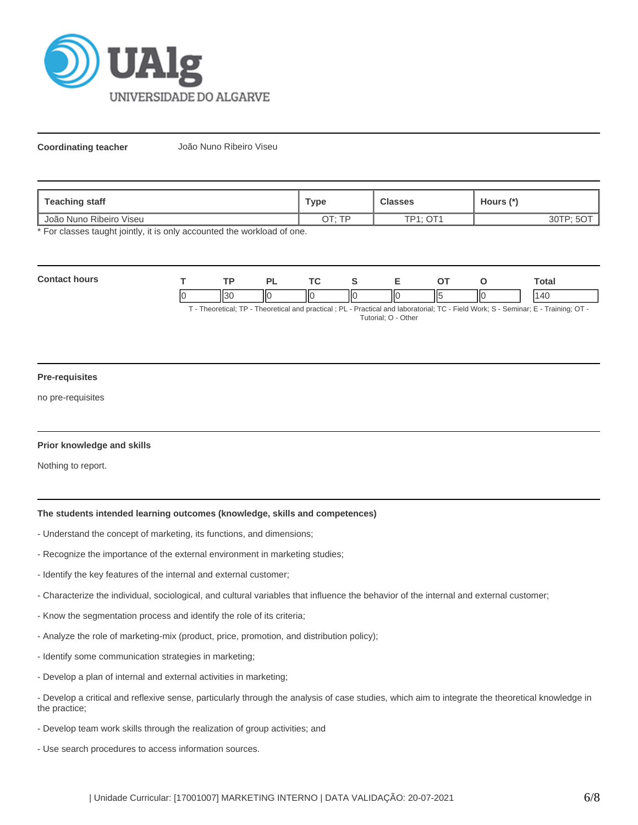

**Coordinating teacher** João Nuno Ribeiro Viseu

| Teaching staff          | <b>Type</b>  | <b>Classes</b>   | Hours (*) |
|-------------------------|--------------|------------------|-----------|
| João Nuno Ribeiro Viseu | חד∙ יד∩<br>ີ | $TD4.$ $\cap T4$ |           |

\* For classes taught jointly, it is only accounted the workload of one.

| Cont<br>hours |   | тD | $\overline{\phantom{a}}$ | $\sim$ $\sim$ |    |     |     | `otal |
|---------------|---|----|--------------------------|---------------|----|-----|-----|-------|
|               | и |    | ПС                       | IІC<br>Ш      | ΠС | II5 | IІC | 110   |

T - Theoretical; TP - Theoretical and practical ; PL - Practical and laboratorial; TC - Field Work; S - Seminar; E - Training; OT - Tutorial; O - Other

### **Pre-requisites**

no pre-requisites

### **Prior knowledge and skills**

Nothing to report.

## **The students intended learning outcomes (knowledge, skills and competences)**

- Understand the concept of marketing, its functions, and dimensions;
- Recognize the importance of the external environment in marketing studies;
- Identify the key features of the internal and external customer;
- Characterize the individual, sociological, and cultural variables that influence the behavior of the internal and external customer;
- Know the segmentation process and identify the role of its criteria;
- Analyze the role of marketing-mix (product, price, promotion, and distribution policy);
- Identify some communication strategies in marketing;
- Develop a plan of internal and external activities in marketing;
- Develop a critical and reflexive sense, particularly through the analysis of case studies, which aim to integrate the theoretical knowledge in the practice;
- Develop team work skills through the realization of group activities; and
- Use search procedures to access information sources.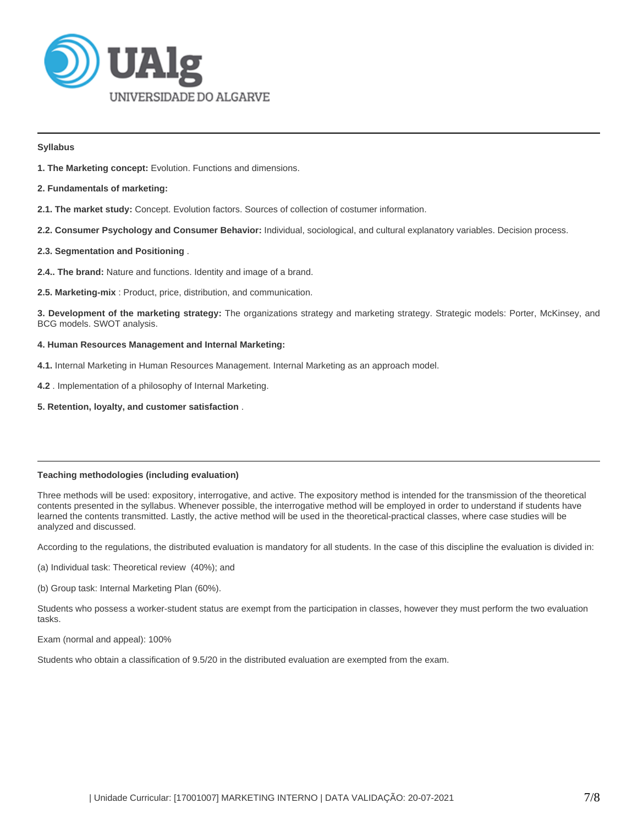

### **Syllabus**

- **1. The Marketing concept:** Evolution. Functions and dimensions.
- **2. Fundamentals of marketing:**
- **2.1. The market study:** Concept. Evolution factors. Sources of collection of costumer information.
- **2.2. Consumer Psychology and Consumer Behavior:** Individual, sociological, and cultural explanatory variables. Decision process.

# **2.3. Segmentation and Positioning** .

- **2.4.. The brand:** Nature and functions. Identity and image of a brand.
- **2.5. Marketing-mix** : Product, price, distribution, and communication.

**3. Development of the marketing strategy:** The organizations strategy and marketing strategy. Strategic models: Porter, McKinsey, and BCG models. SWOT analysis.

## **4. Human Resources Management and Internal Marketing:**

- **4.1.** Internal Marketing in Human Resources Management. Internal Marketing as an approach model.
- **4.2** . Implementation of a philosophy of Internal Marketing.
- **5. Retention, loyalty, and customer satisfaction** .

# **Teaching methodologies (including evaluation)**

Three methods will be used: expository, interrogative, and active. The expository method is intended for the transmission of the theoretical contents presented in the syllabus. Whenever possible, the interrogative method will be employed in order to understand if students have learned the contents transmitted. Lastly, the active method will be used in the theoretical-practical classes, where case studies will be analyzed and discussed.

According to the regulations, the distributed evaluation is mandatory for all students. In the case of this discipline the evaluation is divided in:

(a) Individual task: Theoretical review (40%); and

(b) Group task: Internal Marketing Plan (60%).

Students who possess a worker-student status are exempt from the participation in classes, however they must perform the two evaluation tasks.

Exam (normal and appeal): 100%

Students who obtain a classification of 9.5/20 in the distributed evaluation are exempted from the exam.